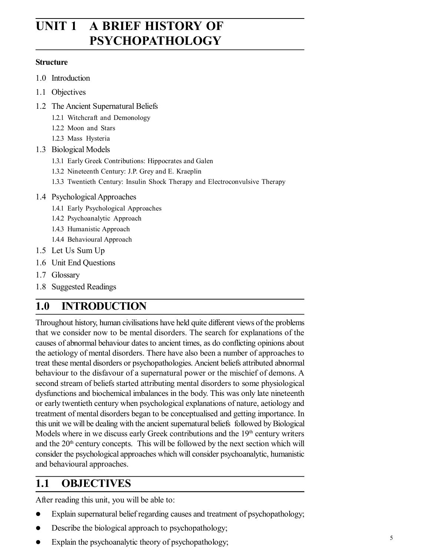# **UNIT 1 A BRIEF HISTORY OF PSYCHOPATHOLOGY**

#### **Structure**

- 1.0 Introduction
- 1.1 Objectives
- 1.2 The Ancient Supernatural Beliefs
	- 1.2.1 Witchcraft and Demonology
	- 1.2.2 Moon and Stars
	- 1.2.3 Mass Hysteria
- 1.3 Biological Models
	- 1.3.1 Early Greek Contributions: Hippocrates and Galen
	- 1.3.2 Nineteenth Century: J.P. Grey and E. Kraeplin
	- 1.3.3 Twentieth Century: Insulin Shock Therapy and Electroconvulsive Therapy
- 1.4 Psychological Approaches
	- 1.4.1 Early Psychological Approaches
	- 1.4.2 Psychoanalytic Approach
	- 1.4.3 Humanistic Approach
	- 1.4.4 Behavioural Approach
- 1.5 Let Us Sum Up
- 1.6 Unit End Questions
- 1.7 Glossary
- 1.8 Suggested Readings

# **1.0 INTRODUCTION**

Throughout history, human civilisations have held quite different views of the problems that we consider now to be mental disorders. The search for explanations of the causes of abnormal behaviour dates to ancient times, as do conflicting opinions about the aetiology of mental disorders. There have also been a number of approaches to treat these mental disorders or psychopathologies. Ancient beliefs attributed abnormal behaviour to the disfavour of a supernatural power or the mischief of demons. A second stream of beliefs started attributing mental disorders to some physiological dysfunctions and biochemical imbalances in the body. This was only late nineteenth or early twentieth century when psychological explanations of nature, aetiology and treatment of mental disorders began to be conceptualised and getting importance. In this unit we will be dealing with the ancient supernatural beliefs followed by Biological Models where in we discuss early Greek contributions and the  $19<sup>th</sup>$  century writers and the  $20<sup>th</sup>$  century concepts. This will be followed by the next section which will consider the psychological approaches which will consider psychoanalytic, humanistic and behavioural approaches.

# **1.1 OBJECTIVES**

After reading this unit, you will be able to:

- Explain supernatural belief regarding causes and treatment of psychopathology;
- Describe the biological approach to psychopathology;
- Explain the psychoanalytic theory of psychopathology;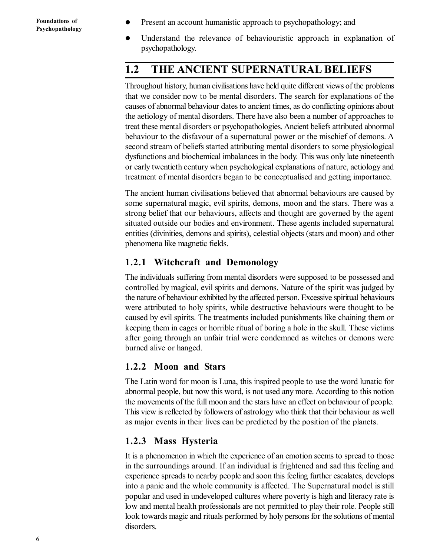- Present an account humanistic approach to psychopathology; and
- Understand the relevance of behaviouristic approach in explanation of psychopathology.

## **1.2 THE ANCIENT SUPERNATURAL BELIEFS**

Throughout history, human civilisations have held quite different views of the problems that we consider now to be mental disorders. The search for explanations of the causes of abnormal behaviour dates to ancient times, as do conflicting opinions about the aetiology of mental disorders. There have also been a number of approaches to treat these mental disorders or psychopathologies. Ancient beliefs attributed abnormal behaviour to the disfavour of a supernatural power or the mischief of demons. A second stream of beliefs started attributing mental disorders to some physiological dysfunctions and biochemical imbalances in the body. This was only late nineteenth or early twentieth century when psychological explanations of nature, aetiology and treatment of mental disorders began to be conceptualised and getting importance.

The ancient human civilisations believed that abnormal behaviours are caused by some supernatural magic, evil spirits, demons, moon and the stars. There was a strong belief that our behaviours, affects and thought are governed by the agent situated outside our bodies and environment. These agents included supernatural entities (divinities, demons and spirits), celestial objects (stars and moon) and other phenomena like magnetic fields.

#### **1.2.1 Witchcraft and Demonology**

The individuals suffering from mental disorders were supposed to be possessed and controlled by magical, evil spirits and demons. Nature of the spirit was judged by the nature of behaviour exhibited by the affected person. Excessive spiritual behaviours were attributed to holy spirits, while destructive behaviours were thought to be caused by evil spirits. The treatments included punishments like chaining them or keeping them in cages or horrible ritual of boring a hole in the skull. These victims after going through an unfair trial were condemned as witches or demons were burned alive or hanged.

#### **1.2.2 Moon and Stars**

The Latin word for moon is Luna, this inspired people to use the word lunatic for abnormal people, but now this word, is not used any more. According to this notion the movements of the full moon and the stars have an effect on behaviour of people. This view is reflected by followers of astrology who think that their behaviour as well as major events in their lives can be predicted by the position of the planets.

#### **1.2.3 Mass Hysteria**

It is a phenomenon in which the experience of an emotion seems to spread to those in the surroundings around. If an individual is frightened and sad this feeling and experience spreads to nearby people and soon this feeling further escalates, develops into a panic and the whole community is affected. The Supernatural model is still popular and used in undeveloped cultures where poverty is high and literacy rate is low and mental health professionals are not permitted to play their role. People still look towards magic and rituals performed by holy persons for the solutions of mental disorders.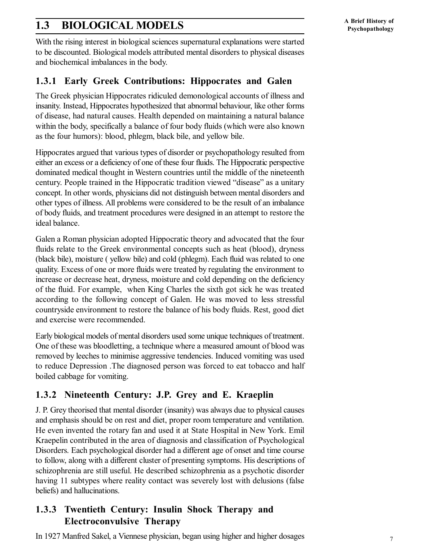## **1.3 BIOLOGICAL MODELS**

With the rising interest in biological sciences supernatural explanations were started to be discounted. Biological models attributed mental disorders to physical diseases and biochemical imbalances in the body.

#### **1.3.1 Early Greek Contributions: Hippocrates and Galen**

The Greek physician Hippocrates ridiculed demonological accounts of illness and insanity. Instead, Hippocrates hypothesized that abnormal behaviour, like other forms of disease, had natural causes. Health depended on maintaining a natural balance within the body, specifically a balance of four body fluids (which were also known as the four humors): blood, phlegm, black bile, and yellow bile.

Hippocrates argued that various types of disorder or psychopathology resulted from either an excess or a deficiency of one of these four fluids. The Hippocratic perspective dominated medical thought in Western countries until the middle of the nineteenth century. People trained in the Hippocratic tradition viewed "disease" as a unitary concept. In other words, physicians did not distinguish between mental disorders and other types of illness. All problems were considered to be the result of an imbalance of body fluids, and treatment procedures were designed in an attempt to restore the ideal balance.

Galen a Roman physician adopted Hippocratic theory and advocated that the four fluids relate to the Greek environmental concepts such as heat (blood), dryness (black bile), moisture ( yellow bile) and cold (phlegm). Each fluid was related to one quality. Excess of one or more fluids were treated by regulating the environment to increase or decrease heat, dryness, moisture and cold depending on the deficiency of the fluid. For example, when King Charles the sixth got sick he was treated according to the following concept of Galen. He was moved to less stressful countryside environment to restore the balance of his body fluids. Rest, good diet and exercise were recommended.

Early biological models of mental disorders used some unique techniques of treatment. One of these was bloodletting, a technique where a measured amount of blood was removed by leeches to minimise aggressive tendencies. Induced vomiting was used to reduce Depression .The diagnosed person was forced to eat tobacco and half boiled cabbage for vomiting.

### **1.3.2 Nineteenth Century: J.P. Grey and E. Kraeplin**

J. P. Grey theorised that mental disorder (insanity) was always due to physical causes and emphasis should be on rest and diet, proper room temperature and ventilation. He even invented the rotary fan and used it at State Hospital in New York. Emil Kraepelin contributed in the area of diagnosis and classification of Psychological Disorders. Each psychological disorder had a different age of onset and time course to follow, along with a different cluster of presenting symptoms. His descriptions of schizophrenia are still useful. He described schizophrenia as a psychotic disorder having 11 subtypes where reality contact was severely lost with delusions (false beliefs) and hallucinations.

### **1.3.3 Twentieth Century: Insulin Shock Therapy and Electroconvulsive Therapy**

In 1927 Manfred Sakel, a Viennese physician, began using higher and higher dosages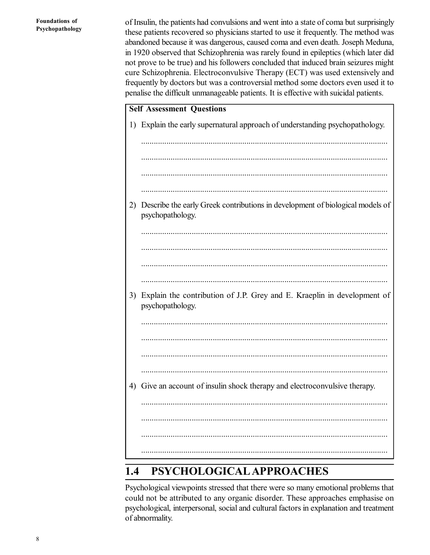of Insulin, the patients had convulsions and went into a state of coma but surprisingly these patients recovered so physicians started to use it frequently. The method was abandoned because it was dangerous, caused coma and even death. Joseph Meduna, in 1920 observed that Schizophrenia was rarely found in epileptics (which later did not prove to be true) and his followers concluded that induced brain seizures might cure Schizophrenia. Electroconvulsive Therapy (ECT) was used extensively and frequently by doctors but was a controversial method some doctors even used it to penalise the difficult unmanageable patients. It is effective with suicidal patients.

| <b>Self Assessment Questions</b> |                                                                                                   |  |  |
|----------------------------------|---------------------------------------------------------------------------------------------------|--|--|
|                                  | 1) Explain the early supernatural approach of understanding psychopathology.                      |  |  |
|                                  |                                                                                                   |  |  |
|                                  |                                                                                                   |  |  |
|                                  |                                                                                                   |  |  |
|                                  |                                                                                                   |  |  |
| 2)                               | Describe the early Greek contributions in development of biological models of<br>psychopathology. |  |  |
|                                  |                                                                                                   |  |  |
|                                  |                                                                                                   |  |  |
|                                  |                                                                                                   |  |  |
|                                  |                                                                                                   |  |  |
| 3)                               | Explain the contribution of J.P. Grey and E. Kraeplin in development of<br>psychopathology.       |  |  |
|                                  |                                                                                                   |  |  |
|                                  |                                                                                                   |  |  |
|                                  |                                                                                                   |  |  |
|                                  |                                                                                                   |  |  |
| 4)                               | Give an account of insulin shock therapy and electroconvulsive therapy.                           |  |  |
|                                  |                                                                                                   |  |  |
|                                  |                                                                                                   |  |  |
|                                  |                                                                                                   |  |  |
|                                  |                                                                                                   |  |  |

# **1.4 PSYCHOLOGICALAPPROACHES**

Psychological viewpoints stressed that there were so many emotional problems that could not be attributed to any organic disorder. These approaches emphasise on psychological, interpersonal, social and cultural factors in explanation and treatment of abnormality.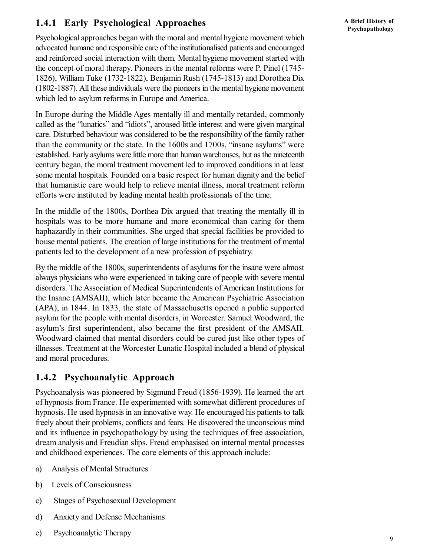### **1.4.1 Early Psychological Approaches**

Psychological approaches began with the moral and mental hygiene movement which advocated humane and responsible care of the institutionalised patients and encouraged and reinforced social interaction with them. Mental hygiene movement started with the concept of moral therapy. Pioneers in the mental reforms were P. Pinel (1745- 1826), William Tuke (1732-1822), Benjamin Rush (1745-1813) and Dorothea Dix (1802-1887). All these individuals were the pioneers in the mental hygiene movement which led to asylum reforms in Europe and America.

In Europe during the Middle Ages mentally ill and mentally retarded, commonly called as the "lunatics" and "idiots", aroused little interest and were given marginal care. Disturbed behaviour was considered to be the responsibility of the family rather than the community or the state. In the 1600s and 1700s, "insane asylums" were established. Early asylums were little more than human warehouses, but as the nineteenth century began, the moral treatment movement led to improved conditions in at least some mental hospitals. Founded on a basic respect for human dignity and the belief that humanistic care would help to relieve mental illness, moral treatment reform efforts were instituted by leading mental health professionals of the time.

In the middle of the 1800s, Dorthea Dix argued that treating the mentally ill in hospitals was to be more humane and more economical than caring for them haphazardly in their communities. She urged that special facilities be provided to house mental patients. The creation of large institutions for the treatment of mental patients led to the development of a new profession of psychiatry.

By the middle of the 1800s, superintendents of asylums for the insane were almost always physicians who were experienced in taking care of people with severe mental disorders. The Association of Medical Superintendents of American Institutions for the Insane (AMSAII), which later became the American Psychiatric Association (APA), in 1844. In 1833, the state of Massachusetts opened a public supported asylum for the people with mental disorders, in Worcester. Samuel Woodward, the asylum's first superintendent, also became the first president of the AMSAII. Woodward claimed that mental disorders could be cured just like other types of illnesses. Treatment at the Worcester Lunatic Hospital included a blend of physical and moral procedures.

### **1.4.2 Psychoanalytic Approach**

Psychoanalysis was pioneered by Sigmund Freud (1856-1939). He learned the art of hypnosis from France. He experimented with somewhat different procedures of hypnosis. He used hypnosis in an innovative way. He encouraged his patients to talk freely about their problems, conflicts and fears. He discovered the unconscious mind and its influence in psychopathology by using the techniques of free association, dream analysis and Freudian slips. Freud emphasised on internal mental processes and childhood experiences. The core elements of this approach include:

- a) Analysis of Mental Structures
- b) Levels of Consciousness
- c) Stages of Psychosexual Development
- d) Anxiety and Defense Mechanisms
- e) Psychoanalytic Therapy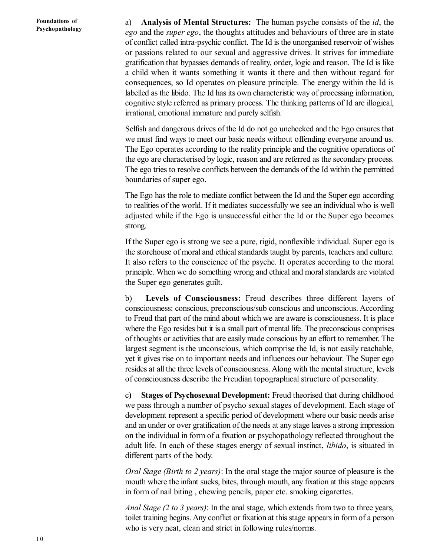a) **Analysis of Mental Structures:** The human psyche consists of the *id*, the *ego* and the *super ego*, the thoughts attitudes and behaviours of three are in state of conflict called intra-psychic conflict. The Id is the unorganised reservoir of wishes or passions related to our sexual and aggressive drives. It strives for immediate gratification that bypasses demands of reality, order, logic and reason. The Id is like a child when it wants something it wants it there and then without regard for consequences, so Id operates on pleasure principle. The energy within the Id is labelled as the libido. The Id has its own characteristic way of processing information, cognitive style referred as primary process. The thinking patterns of Id are illogical, irrational, emotional immature and purely selfish.

Selfish and dangerous drives of the Id do not go unchecked and the Ego ensures that we must find ways to meet our basic needs without offending everyone around us. The Ego operates according to the reality principle and the cognitive operations of the ego are characterised by logic, reason and are referred as the secondary process. The ego tries to resolve conflicts between the demands of the Id within the permitted boundaries of super ego.

The Ego has the role to mediate conflict between the Id and the Super ego according to realities of the world. If it mediates successfully we see an individual who is well adjusted while if the Ego is unsuccessful either the Id or the Super ego becomes strong.

If the Super ego is strong we see a pure, rigid, nonflexible individual. Super ego is the storehouse of moral and ethical standards taught by parents, teachers and culture. It also refers to the conscience of the psyche. It operates according to the moral principle. When we do something wrong and ethical and moral standards are violated the Super ego generates guilt.

b) **Levels of Consciousness:** Freud describes three different layers of consciousness: conscious, preconscious/sub conscious and unconscious. According to Freud that part of the mind about which we are aware is consciousness. It is place where the Ego resides but it is a small part of mental life. The preconscious comprises of thoughts or activities that are easily made conscious by an effort to remember. The largest segment is the unconscious, which comprise the Id, is not easily reachable, yet it gives rise on to important needs and influences our behaviour. The Super ego resides at all the three levels of consciousness. Along with the mental structure, levels of consciousness describe the Freudian topographical structure of personality.

c**) Stages of Psychosexual Development:** Freud theorised that during childhood we pass through a number of psycho sexual stages of development. Each stage of development represent a specific period of development where our basic needs arise and an under or over gratification of the needs at any stage leaves a strong impression on the individual in form of a fixation or psychopathology reflected throughout the adult life. In each of these stages energy of sexual instinct, *libido*, is situated in different parts of the body.

*Oral Stage (Birth to 2 years)*: In the oral stage the major source of pleasure is the mouth where the infant sucks, bites, through mouth, any fixation at this stage appears in form of nail biting , chewing pencils, paper etc. smoking cigarettes.

*Anal Stage (2 to 3 years)*: In the anal stage, which extends from two to three years, toilet training begins. Any conflict or fixation at this stage appears in form of a person who is very neat, clean and strict in following rules/norms.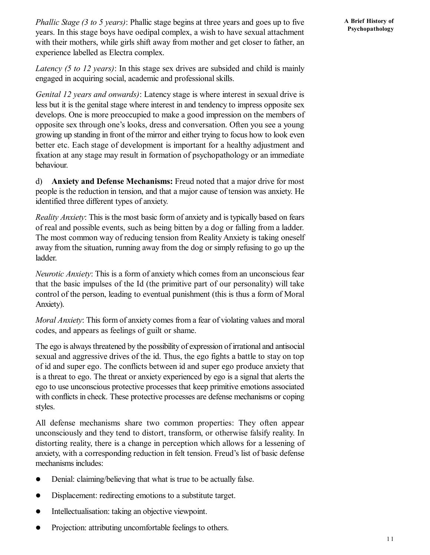*Phallic Stage (3 to 5 years)*: Phallic stage begins at three years and goes up to five years. In this stage boys have oedipal complex, a wish to have sexual attachment with their mothers, while girls shift away from mother and get closer to father, an experience labelled as Electra complex.

*Latency (5 to 12 years)*: In this stage sex drives are subsided and child is mainly engaged in acquiring social, academic and professional skills.

*Genital 12 years and onwards)*: Latency stage is where interest in sexual drive is less but it is the genital stage where interest in and tendency to impress opposite sex develops. One is more preoccupied to make a good impression on the members of opposite sex through one's looks, dress and conversation. Often you see a young growing up standing in front of the mirror and either trying to focus how to look even better etc. Each stage of development is important for a healthy adjustment and fixation at any stage may result in formation of psychopathology or an immediate behaviour.

d) **Anxiety and Defense Mechanisms:** Freud noted that a major drive for most people is the reduction in tension, and that a major cause of tension was anxiety. He identified three different types of anxiety.

*Reality Anxiety*: This is the most basic form of anxiety and is typically based on fears of real and possible events, such as being bitten by a dog or falling from a ladder. The most common way of reducing tension from Reality Anxiety is taking oneself away from the situation, running away from the dog or simply refusing to go up the ladder.

*Neurotic Anxiety*: This is a form of anxiety which comes from an unconscious fear that the basic impulses of the Id (the primitive part of our personality) will take control of the person, leading to eventual punishment (this is thus a form of Moral Anxiety).

*Moral Anxiety*: This form of anxiety comes from a fear of violating values and moral codes, and appears as feelings of guilt or shame.

The ego is always threatened by the possibility of expression of irrational and antisocial sexual and aggressive drives of the id. Thus, the ego fights a battle to stay on top of id and super ego. The conflicts between id and super ego produce anxiety that is a threat to ego. The threat or anxiety experienced by ego is a signal that alerts the ego to use unconscious protective processes that keep primitive emotions associated with conflicts in check. These protective processes are defense mechanisms or coping styles.

All defense mechanisms share two common properties: They often appear unconsciously and they tend to distort, transform, or otherwise falsify reality. In distorting reality, there is a change in perception which allows for a lessening of anxiety, with a corresponding reduction in felt tension. Freud's list of basic defense mechanisms includes:

- Denial: claiming/believing that what is true to be actually false.
- Displacement: redirecting emotions to a substitute target.
- Intellectualisation: taking an objective viewpoint.
- Projection: attributing uncomfortable feelings to others.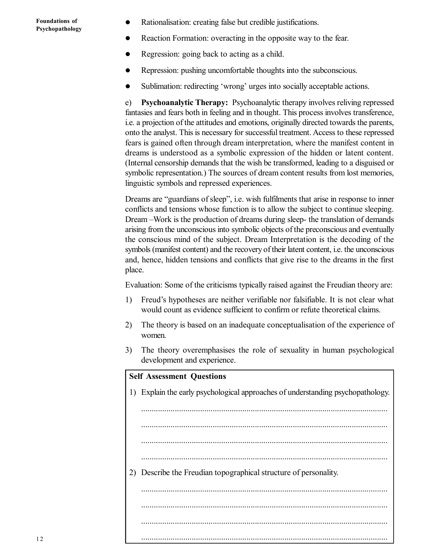- Rationalisation: creating false but credible justifications.
- Reaction Formation: overacting in the opposite way to the fear.
- Regression: going back to acting as a child.
- Repression: pushing uncomfortable thoughts into the subconscious.
- Sublimation: redirecting 'wrong' urges into socially acceptable actions.

e) **Psychoanalytic Therapy:** Psychoanalytic therapy involves reliving repressed fantasies and fears both in feeling and in thought. This process involves transference, i.e. a projection of the attitudes and emotions, originally directed towards the parents, onto the analyst. This is necessary for successful treatment. Access to these repressed fears is gained often through dream interpretation, where the manifest content in dreams is understood as a symbolic expression of the hidden or latent content. (Internal censorship demands that the wish be transformed, leading to a disguised or symbolic representation.) The sources of dream content results from lost memories, linguistic symbols and repressed experiences.

Dreams are "guardians of sleep", i.e. wish fulfilments that arise in response to inner conflicts and tensions whose function is to allow the subject to continue sleeping. Dream –Work is the production of dreams during sleep- the translation of demands arising from the unconscious into symbolic objects of the preconscious and eventually the conscious mind of the subject. Dream Interpretation is the decoding of the symbols (manifest content) and the recovery of their latent content, i.e. the unconscious and, hence, hidden tensions and conflicts that give rise to the dreams in the first place.

Evaluation: Some of the criticisms typically raised against the Freudian theory are:

- 1) Freud's hypotheses are neither verifiable nor falsifiable. It is not clear what would count as evidence sufficient to confirm or refute theoretical claims.
- 2) The theory is based on an inadequate conceptualisation of the experience of women.
- 3) The theory overemphasises the role of sexuality in human psychological development and experience.

| <b>Self Assessment Questions</b> |                                                                                 |  |  |
|----------------------------------|---------------------------------------------------------------------------------|--|--|
|                                  | 1) Explain the early psychological approaches of understanding psychopathology. |  |  |
|                                  |                                                                                 |  |  |
|                                  |                                                                                 |  |  |
|                                  |                                                                                 |  |  |
|                                  |                                                                                 |  |  |
|                                  |                                                                                 |  |  |
| 2)                               | Describe the Freudian topographical structure of personality.                   |  |  |
|                                  |                                                                                 |  |  |
|                                  |                                                                                 |  |  |
|                                  |                                                                                 |  |  |
|                                  |                                                                                 |  |  |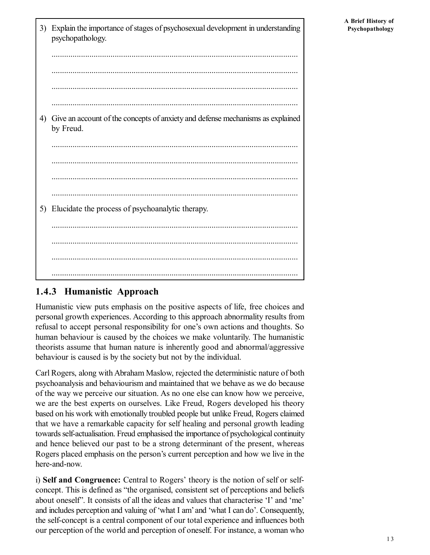3) Explain the importance of stages of psychosexual development in understanding psychopathology. ..................................................................................................................... ..................................................................................................................... ..................................................................................................................... ..................................................................................................................... 4) Give an account of the concepts of anxiety and defense mechanisms as explained by Freud. ..................................................................................................................... ..................................................................................................................... ..................................................................................................................... ..................................................................................................................... 5) Elucidate the process of psychoanalytic therapy. ..................................................................................................................... ..................................................................................................................... ..................................................................................................................... .....................................................................................................................

### **1.4.3 Humanistic Approach**

Humanistic view puts emphasis on the positive aspects of life, free choices and personal growth experiences. According to this approach abnormality results from refusal to accept personal responsibility for one's own actions and thoughts. So human behaviour is caused by the choices we make voluntarily. The humanistic theorists assume that human nature is inherently good and abnormal/aggressive behaviour is caused is by the society but not by the individual.

Carl Rogers, along with Abraham Maslow, rejected the deterministic nature of both psychoanalysis and behaviourism and maintained that we behave as we do because of the way we perceive our situation. As no one else can know how we perceive, we are the best experts on ourselves. Like Freud, Rogers developed his theory based on his work with emotionally troubled people but unlike Freud, Rogers claimed that we have a remarkable capacity for self healing and personal growth leading towards self-actualisation. Freud emphasised the importance of psychological continuity and hence believed our past to be a strong determinant of the present, whereas Rogers placed emphasis on the person's current perception and how we live in the here-and-now.

i) **Self and Congruence:** Central to Rogers' theory is the notion of self or selfconcept. This is defined as "the organised, consistent set of perceptions and beliefs about oneself". It consists of all the ideas and values that characterise 'I' and 'me' and includes perception and valuing of 'what I am' and 'what I can do'. Consequently, the self-concept is a central component of our total experience and influences both our perception of the world and perception of oneself. For instance, a woman who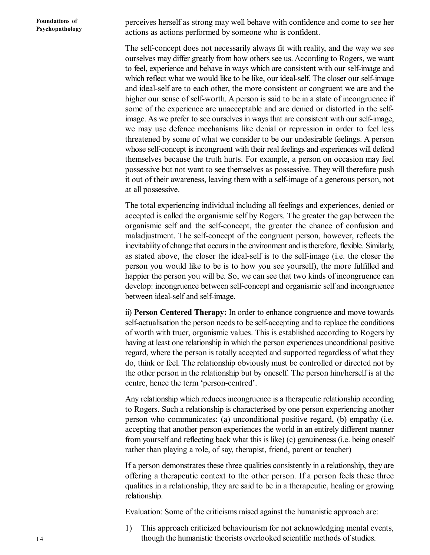perceives herself as strong may well behave with confidence and come to see her actions as actions performed by someone who is confident.

The self-concept does not necessarily always fit with reality, and the way we see ourselves may differ greatly from how others see us. According to Rogers, we want to feel, experience and behave in ways which are consistent with our self-image and which reflect what we would like to be like, our ideal-self. The closer our self-image and ideal-self are to each other, the more consistent or congruent we are and the higher our sense of self-worth. A person is said to be in a state of incongruence if some of the experience are unacceptable and are denied or distorted in the selfimage. As we prefer to see ourselves in ways that are consistent with our self-image, we may use defence mechanisms like denial or repression in order to feel less threatened by some of what we consider to be our undesirable feelings. A person whose self-concept is incongruent with their real feelings and experiences will defend themselves because the truth hurts. For example, a person on occasion may feel possessive but not want to see themselves as possessive. They will therefore push it out of their awareness, leaving them with a self-image of a generous person, not at all possessive.

The total experiencing individual including all feelings and experiences, denied or accepted is called the organismic self by Rogers. The greater the gap between the organismic self and the self-concept, the greater the chance of confusion and maladjustment. The self-concept of the congruent person, however, reflects the inevitability of change that occurs in the environment and is therefore, flexible. Similarly, as stated above, the closer the ideal-self is to the self-image (i.e. the closer the person you would like to be is to how you see yourself), the more fulfilled and happier the person you will be. So, we can see that two kinds of incongruence can develop: incongruence between self-concept and organismic self and incongruence between ideal-self and self-image.

ii) **Person Centered Therapy:** In order to enhance congruence and move towards self-actualisation the person needs to be self-accepting and to replace the conditions of worth with truer, organismic values. This is established according to Rogers by having at least one relationship in which the person experiences unconditional positive regard, where the person is totally accepted and supported regardless of what they do, think or feel. The relationship obviously must be controlled or directed not by the other person in the relationship but by oneself. The person him/herself is at the centre, hence the term 'person-centred'.

Any relationship which reduces incongruence is a therapeutic relationship according to Rogers. Such a relationship is characterised by one person experiencing another person who communicates: (a) unconditional positive regard, (b) empathy (i.e. accepting that another person experiences the world in an entirely different manner from yourself and reflecting back what this is like) (c) genuineness (i.e. being oneself rather than playing a role, of say, therapist, friend, parent or teacher)

If a person demonstrates these three qualities consistently in a relationship, they are offering a therapeutic context to the other person. If a person feels these three qualities in a relationship, they are said to be in a therapeutic, healing or growing relationship.

Evaluation: Some of the criticisms raised against the humanistic approach are:

1) This approach criticized behaviourism for not acknowledging mental events, though the humanistic theorists overlooked scientific methods of studies.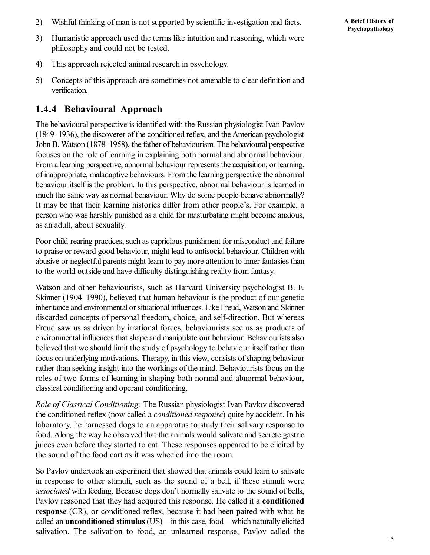2) Wishful thinking of man is not supported by scientific investigation and facts.

- 4) This approach rejected animal research in psychology.
- 5) Concepts of this approach are sometimes not amenable to clear definition and verification.

### **1.4.4 Behavioural Approach**

The behavioural perspective is identified with the Russian physiologist Ivan Pavlov (1849–1936), the discoverer of the conditioned reflex, and the American psychologist John B. Watson (1878–1958), the father of behaviourism. The behavioural perspective focuses on the role of learning in explaining both normal and abnormal behaviour. From a learning perspective, abnormal behaviour represents the acquisition, or learning, of inappropriate, maladaptive behaviours. From the learning perspective the abnormal behaviour itself is the problem. In this perspective, abnormal behaviour is learned in much the same way as normal behaviour. Why do some people behave abnormally? It may be that their learning histories differ from other people's. For example, a person who was harshly punished as a child for masturbating might become anxious, as an adult, about sexuality.

Poor child-rearing practices, such as capricious punishment for misconduct and failure to praise or reward good behaviour, might lead to antisocial behaviour. Children with abusive or neglectful parents might learn to pay more attention to inner fantasies than to the world outside and have difficulty distinguishing reality from fantasy.

Watson and other behaviourists, such as Harvard University psychologist B. F. Skinner (1904–1990), believed that human behaviour is the product of our genetic inheritance and environmental or situational influences. Like Freud, Watson and Skinner discarded concepts of personal freedom, choice, and self-direction. But whereas Freud saw us as driven by irrational forces, behaviourists see us as products of environmental influences that shape and manipulate our behaviour. Behaviourists also believed that we should limit the study of psychology to behaviour itself rather than focus on underlying motivations. Therapy, in this view, consists of shaping behaviour rather than seeking insight into the workings of the mind. Behaviourists focus on the roles of two forms of learning in shaping both normal and abnormal behaviour, classical conditioning and operant conditioning.

*Role of Classical Conditioning:* The Russian physiologist Ivan Pavlov discovered the conditioned reflex (now called a *conditioned response*) quite by accident. In his laboratory, he harnessed dogs to an apparatus to study their salivary response to food. Along the way he observed that the animals would salivate and secrete gastric juices even before they started to eat. These responses appeared to be elicited by the sound of the food cart as it was wheeled into the room.

So Pavlov undertook an experiment that showed that animals could learn to salivate in response to other stimuli, such as the sound of a bell, if these stimuli were *associated* with feeding. Because dogs don't normally salivate to the sound of bells, Pavlov reasoned that they had acquired this response. He called it a **conditioned response** (CR), or conditioned reflex, because it had been paired with what he called an **unconditioned stimulus** (US)—in this case, food—which naturally elicited salivation. The salivation to food, an unlearned response, Pavlov called the

**A Brief History of Psychopathology**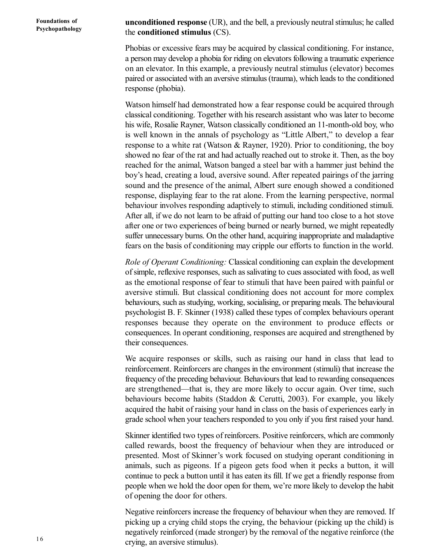**unconditioned response** (UR), and the bell, a previously neutral stimulus; he called the **conditioned stimulus** (CS).

Phobias or excessive fears may be acquired by classical conditioning. For instance, a person may develop a phobia for riding on elevators following a traumatic experience on an elevator. In this example, a previously neutral stimulus (elevator) becomes paired or associated with an aversive stimulus (trauma), which leads to the conditioned response (phobia).

Watson himself had demonstrated how a fear response could be acquired through classical conditioning. Together with his research assistant who was later to become his wife, Rosalie Rayner, Watson classically conditioned an 11-month-old boy, who is well known in the annals of psychology as "Little Albert," to develop a fear response to a white rat (Watson & Rayner, 1920). Prior to conditioning, the boy showed no fear of the rat and had actually reached out to stroke it. Then, as the boy reached for the animal, Watson banged a steel bar with a hammer just behind the boy's head, creating a loud, aversive sound. After repeated pairings of the jarring sound and the presence of the animal, Albert sure enough showed a conditioned response, displaying fear to the rat alone. From the learning perspective, normal behaviour involves responding adaptively to stimuli, including conditioned stimuli. After all, if we do not learn to be afraid of putting our hand too close to a hot stove after one or two experiences of being burned or nearly burned, we might repeatedly suffer unnecessary burns. On the other hand, acquiring inappropriate and maladaptive fears on the basis of conditioning may cripple our efforts to function in the world.

*Role of Operant Conditioning:* Classical conditioning can explain the development of simple, reflexive responses, such as salivating to cues associated with food, as well as the emotional response of fear to stimuli that have been paired with painful or aversive stimuli. But classical conditioning does not account for more complex behaviours, such as studying, working, socialising, or preparing meals. The behavioural psychologist B. F. Skinner (1938) called these types of complex behaviours operant responses because they operate on the environment to produce effects or consequences. In operant conditioning, responses are acquired and strengthened by their consequences.

We acquire responses or skills, such as raising our hand in class that lead to reinforcement. Reinforcers are changes in the environment (stimuli) that increase the frequency of the preceding behaviour. Behaviours that lead to rewarding consequences are strengthened—that is, they are more likely to occur again. Over time, such behaviours become habits (Staddon & Cerutti, 2003). For example, you likely acquired the habit of raising your hand in class on the basis of experiences early in grade school when your teachers responded to you only if you first raised your hand.

Skinner identified two types of reinforcers. Positive reinforcers, which are commonly called rewards, boost the frequency of behaviour when they are introduced or presented. Most of Skinner's work focused on studying operant conditioning in animals, such as pigeons. If a pigeon gets food when it pecks a button, it will continue to peck a button until it has eaten its fill. If we get a friendly response from people when we hold the door open for them, we're more likely to develop the habit of opening the door for others.

Negative reinforcers increase the frequency of behaviour when they are removed. If picking up a crying child stops the crying, the behaviour (picking up the child) is negatively reinforced (made stronger) by the removal of the negative reinforce (the crying, an aversive stimulus).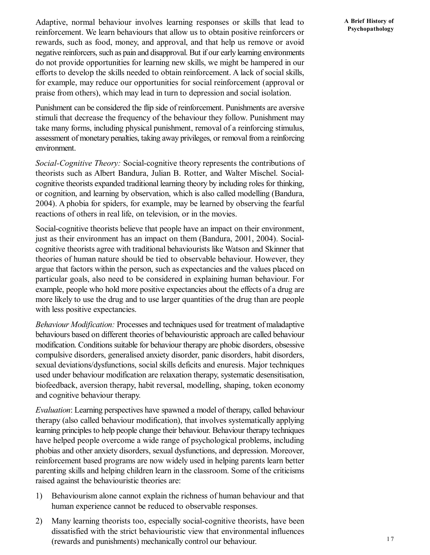Adaptive, normal behaviour involves learning responses or skills that lead to reinforcement. We learn behaviours that allow us to obtain positive reinforcers or rewards, such as food, money, and approval, and that help us remove or avoid negative reinforcers, such as pain and disapproval. But if our early learning environments do not provide opportunities for learning new skills, we might be hampered in our efforts to develop the skills needed to obtain reinforcement. A lack of social skills, for example, may reduce our opportunities for social reinforcement (approval or praise from others), which may lead in turn to depression and social isolation.

Punishment can be considered the flip side of reinforcement. Punishments are aversive stimuli that decrease the frequency of the behaviour they follow. Punishment may take many forms, including physical punishment, removal of a reinforcing stimulus, assessment of monetary penalties, taking away privileges, or removal from a reinforcing environment.

*Social-Cognitive Theory:* Social-cognitive theory represents the contributions of theorists such as Albert Bandura, Julian B. Rotter, and Walter Mischel. Socialcognitive theorists expanded traditional learning theory by including roles for thinking, or cognition, and learning by observation, which is also called modelling (Bandura, 2004). A phobia for spiders, for example, may be learned by observing the fearful reactions of others in real life, on television, or in the movies.

Social-cognitive theorists believe that people have an impact on their environment, just as their environment has an impact on them (Bandura, 2001, 2004). Socialcognitive theorists agree with traditional behaviourists like Watson and Skinner that theories of human nature should be tied to observable behaviour. However, they argue that factors within the person, such as expectancies and the values placed on particular goals, also need to be considered in explaining human behaviour. For example, people who hold more positive expectancies about the effects of a drug are more likely to use the drug and to use larger quantities of the drug than are people with less positive expectancies.

*Behaviour Modification:* Processes and techniques used for treatment of maladaptive behaviours based on different theories of behaviouristic approach are called behaviour modification. Conditions suitable for behaviour therapy are phobic disorders, obsessive compulsive disorders, generalised anxiety disorder, panic disorders, habit disorders, sexual deviations/dysfunctions, social skills deficits and enuresis. Major techniques used under behaviour modification are relaxation therapy, systematic desensitisation, biofeedback, aversion therapy, habit reversal, modelling, shaping, token economy and cognitive behaviour therapy.

*Evaluation*: Learning perspectives have spawned a model of therapy, called behaviour therapy (also called behaviour modification), that involves systematically applying learning principles to help people change their behaviour. Behaviour therapy techniques have helped people overcome a wide range of psychological problems, including phobias and other anxiety disorders, sexual dysfunctions, and depression. Moreover, reinforcement based programs are now widely used in helping parents learn better parenting skills and helping children learn in the classroom. Some of the criticisms raised against the behaviouristic theories are:

- 1) Behaviourism alone cannot explain the richness of human behaviour and that human experience cannot be reduced to observable responses.
- 2) Many learning theorists too, especially social-cognitive theorists, have been dissatisfied with the strict behaviouristic view that environmental influences (rewards and punishments) mechanically control our behaviour.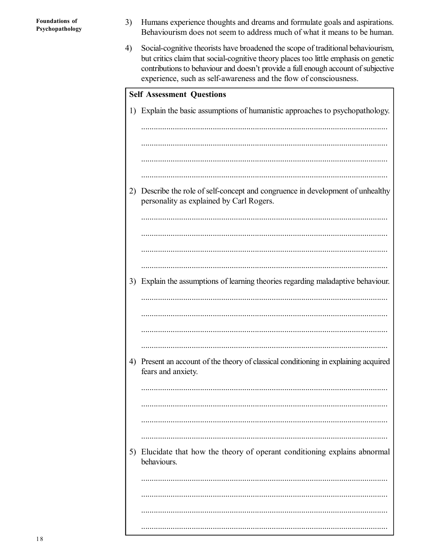- Humans experience thoughts and dreams and formulate goals and aspirations.  $3)$ Behaviourism does not seem to address much of what it means to be human.
- Social-cognitive theorists have broadened the scope of traditional behaviourism, 4) but critics claim that social-cognitive theory places too little emphasis on genetic contributions to behaviour and doesn't provide a full enough account of subjective experience, such as self-awareness and the flow of consciousness.

| <b>Self Assessment Questions</b> |                                                                                                                          |  |  |
|----------------------------------|--------------------------------------------------------------------------------------------------------------------------|--|--|
|                                  | 1) Explain the basic assumptions of humanistic approaches to psychopathology.                                            |  |  |
|                                  |                                                                                                                          |  |  |
|                                  |                                                                                                                          |  |  |
|                                  |                                                                                                                          |  |  |
|                                  |                                                                                                                          |  |  |
| 2)                               | Describe the role of self-concept and congruence in development of unhealthy<br>personality as explained by Carl Rogers. |  |  |
|                                  |                                                                                                                          |  |  |
|                                  |                                                                                                                          |  |  |
|                                  |                                                                                                                          |  |  |
|                                  |                                                                                                                          |  |  |
| 3)                               | Explain the assumptions of learning theories regarding maladaptive behaviour.                                            |  |  |
|                                  |                                                                                                                          |  |  |
|                                  |                                                                                                                          |  |  |
|                                  |                                                                                                                          |  |  |
|                                  |                                                                                                                          |  |  |
| 4)                               | Present an account of the theory of classical conditioning in explaining acquired<br>fears and anxiety.                  |  |  |
|                                  |                                                                                                                          |  |  |
|                                  |                                                                                                                          |  |  |
|                                  |                                                                                                                          |  |  |
|                                  |                                                                                                                          |  |  |
| 5)                               | Elucidate that how the theory of operant conditioning explains abnormal<br>behaviours.                                   |  |  |
|                                  |                                                                                                                          |  |  |
|                                  |                                                                                                                          |  |  |
|                                  |                                                                                                                          |  |  |
|                                  |                                                                                                                          |  |  |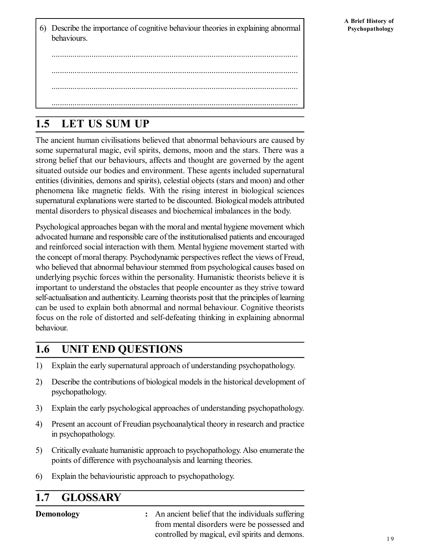6) Describe the importance of cognitive behaviour theories in explaining abnormal behaviours.

..................................................................................................................... ..................................................................................................................... ..................................................................................................................... .....................................................................................................................

# **1.5 LET US SUM UP**

The ancient human civilisations believed that abnormal behaviours are caused by some supernatural magic, evil spirits, demons, moon and the stars. There was a strong belief that our behaviours, affects and thought are governed by the agent situated outside our bodies and environment. These agents included supernatural entities (divinities, demons and spirits), celestial objects (stars and moon) and other phenomena like magnetic fields. With the rising interest in biological sciences supernatural explanations were started to be discounted. Biological models attributed mental disorders to physical diseases and biochemical imbalances in the body.

Psychological approaches began with the moral and mental hygiene movement which advocated humane and responsible care of the institutionalised patients and encouraged and reinforced social interaction with them. Mental hygiene movement started with the concept of moral therapy. Psychodynamic perspectives reflect the views of Freud, who believed that abnormal behaviour stemmed from psychological causes based on underlying psychic forces within the personality. Humanistic theorists believe it is important to understand the obstacles that people encounter as they strive toward self-actualisation and authenticity. Learning theorists posit that the principles of learning can be used to explain both abnormal and normal behaviour. Cognitive theorists focus on the role of distorted and self-defeating thinking in explaining abnormal behaviour.

## **1.6 UNIT END QUESTIONS**

- 1) Explain the early supernatural approach of understanding psychopathology.
- 2) Describe the contributions of biological models in the historical development of psychopathology.
- 3) Explain the early psychological approaches of understanding psychopathology.
- 4) Present an account of Freudian psychoanalytical theory in research and practice in psychopathology.
- 5) Critically evaluate humanistic approach to psychopathology. Also enumerate the points of difference with psychoanalysis and learning theories.
- 6) Explain the behaviouristic approach to psychopathology.

# **1.7 GLOSSARY**

**Demonology :** An ancient belief that the individuals suffering from mental disorders were be possessed and controlled by magical, evil spirits and demons.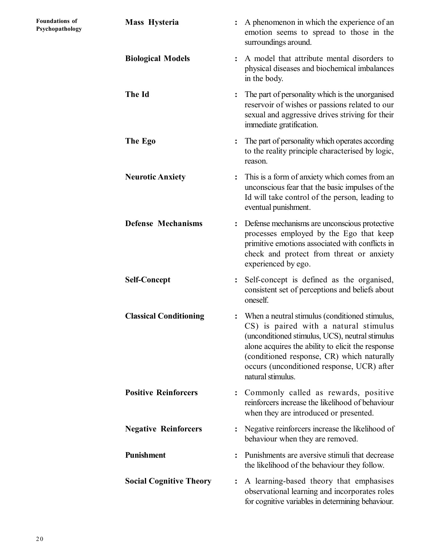| Mass Hysteria                  | A phenomenon in which the experience of an<br>:<br>emotion seems to spread to those in the<br>surroundings around.                                                                                                                                                                                               |
|--------------------------------|------------------------------------------------------------------------------------------------------------------------------------------------------------------------------------------------------------------------------------------------------------------------------------------------------------------|
| <b>Biological Models</b>       | A model that attribute mental disorders to<br>$\ddot{\cdot}$<br>physical diseases and biochemical imbalances<br>in the body.                                                                                                                                                                                     |
| The Id                         | The part of personality which is the unorganised<br>$\ddot{\cdot}$<br>reservoir of wishes or passions related to our<br>sexual and aggressive drives striving for their<br>immediate gratification.                                                                                                              |
| The Ego                        | The part of personality which operates according<br>$\ddot{\cdot}$<br>to the reality principle characterised by logic,<br>reason.                                                                                                                                                                                |
| <b>Neurotic Anxiety</b>        | This is a form of anxiety which comes from an<br>:<br>unconscious fear that the basic impulses of the<br>Id will take control of the person, leading to<br>eventual punishment.                                                                                                                                  |
| <b>Defense Mechanisms</b>      | Defense mechanisms are unconscious protective<br>processes employed by the Ego that keep<br>primitive emotions associated with conflicts in<br>check and protect from threat or anxiety<br>experienced by ego.                                                                                                   |
| <b>Self-Concept</b>            | Self-concept is defined as the organised,<br>$\ddot{\cdot}$<br>consistent set of perceptions and beliefs about<br>oneself.                                                                                                                                                                                       |
| <b>Classical Conditioning</b>  | When a neutral stimulus (conditioned stimulus,<br>CS) is paired with a natural stimulus<br>(unconditioned stimulus, UCS), neutral stimulus<br>alone acquires the ability to elicit the response<br>(conditioned response, CR) which naturally<br>occurs (unconditioned response, UCR) after<br>natural stimulus. |
| <b>Positive Reinforcers</b>    | Commonly called as rewards, positive<br>$\ddot{\cdot}$<br>reinforcers increase the likelihood of behaviour<br>when they are introduced or presented.                                                                                                                                                             |
| <b>Negative Reinforcers</b>    | Negative reinforcers increase the likelihood of<br>$\ddot{\cdot}$<br>behaviour when they are removed.                                                                                                                                                                                                            |
| Punishment                     | Punishments are aversive stimuli that decrease<br>$\ddot{\cdot}$<br>the likelihood of the behaviour they follow.                                                                                                                                                                                                 |
| <b>Social Cognitive Theory</b> | A learning-based theory that emphasises<br>$\ddot{\cdot}$<br>observational learning and incorporates roles<br>for cognitive variables in determining behaviour.                                                                                                                                                  |